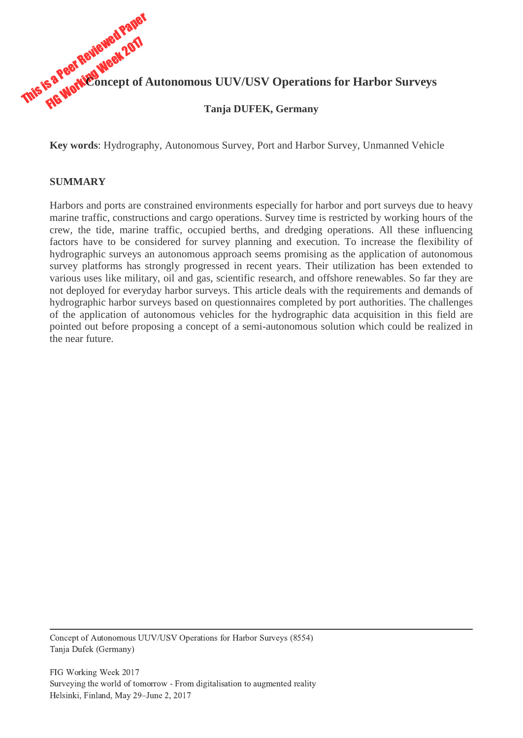

**Key words**: Hydrography, Autonomous Survey, Port and Harbor Survey, Unmanned Vehicle

#### **SUMMARY**

Harbors and ports are constrained environments especially for harbor and port surveys due to heavy marine traffic, constructions and cargo operations. Survey time is restricted by working hours of the crew, the tide, marine traffic, occupied berths, and dredging operations. All these influencing factors have to be considered for survey planning and execution. To increase the flexibility of hydrographic surveys an autonomous approach seems promising as the application of autonomous survey platforms has strongly progressed in recent years. Their utilization has been extended to various uses like military, oil and gas, scientific research, and offshore renewables. So far they are not deployed for everyday harbor surveys. This article deals with the requirements and demands of hydrographic harbor surveys based on questionnaires completed by port authorities. The challenges of the application of autonomous vehicles for the hydrographic data acquisition in this field are pointed out before proposing a concept of a semi-autonomous solution which could be realized in the near future.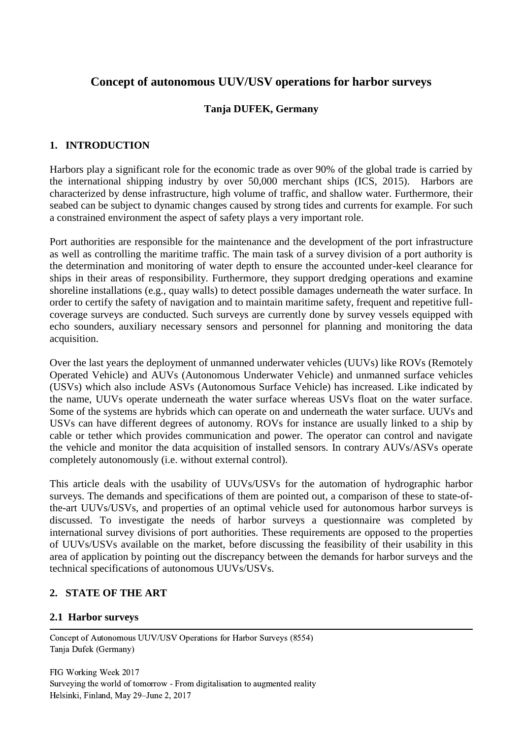# **Concept of autonomous UUV/USV operations for harbor surveys**

#### **Tanja DUFEK, Germany**

#### **1. INTRODUCTION**

Harbors play a significant role for the economic trade as over 90% of the global trade is carried by the international shipping industry by over 50,000 merchant ships (ICS, 2015). Harbors are characterized by dense infrastructure, high volume of traffic, and shallow water. Furthermore, their seabed can be subject to dynamic changes caused by strong tides and currents for example. For such a constrained environment the aspect of safety plays a very important role.

Port authorities are responsible for the maintenance and the development of the port infrastructure as well as controlling the maritime traffic. The main task of a survey division of a port authority is the determination and monitoring of water depth to ensure the accounted under-keel clearance for ships in their areas of responsibility. Furthermore, they support dredging operations and examine shoreline installations (e.g., quay walls) to detect possible damages underneath the water surface. In order to certify the safety of navigation and to maintain maritime safety, frequent and repetitive fullcoverage surveys are conducted. Such surveys are currently done by survey vessels equipped with echo sounders, auxiliary necessary sensors and personnel for planning and monitoring the data acquisition.

Over the last years the deployment of unmanned underwater vehicles (UUVs) like ROVs (Remotely Operated Vehicle) and AUVs (Autonomous Underwater Vehicle) and unmanned surface vehicles (USVs) which also include ASVs (Autonomous Surface Vehicle) has increased. Like indicated by the name, UUVs operate underneath the water surface whereas USVs float on the water surface. Some of the systems are hybrids which can operate on and underneath the water surface. UUVs and USVs can have different degrees of autonomy. ROVs for instance are usually linked to a ship by cable or tether which provides communication and power. The operator can control and navigate the vehicle and monitor the data acquisition of installed sensors. In contrary AUVs/ASVs operate completely autonomously (i.e. without external control).

This article deals with the usability of UUVs/USVs for the automation of hydrographic harbor surveys. The demands and specifications of them are pointed out, a comparison of these to state-ofthe-art UUVs/USVs, and properties of an optimal vehicle used for autonomous harbor surveys is discussed. To investigate the needs of harbor surveys a questionnaire was completed by international survey divisions of port authorities. These requirements are opposed to the properties of UUVs/USVs available on the market, before discussing the feasibility of their usability in this area of application by pointing out the discrepancy between the demands for harbor surveys and the technical specifications of autonomous UUVs/USVs.

#### **2. STATE OF THE ART**

#### **2.1 Harbor surveys**

 Concept of Autonomous UUV/USV Operations for Harbor Surveys (8554) Tanja Dufek (Germany)

FIG Working Week 2017 Surveying the world of tomorrow - From digitalisation to augmented reality Helsinki, Finland, May 29–June 2, 2017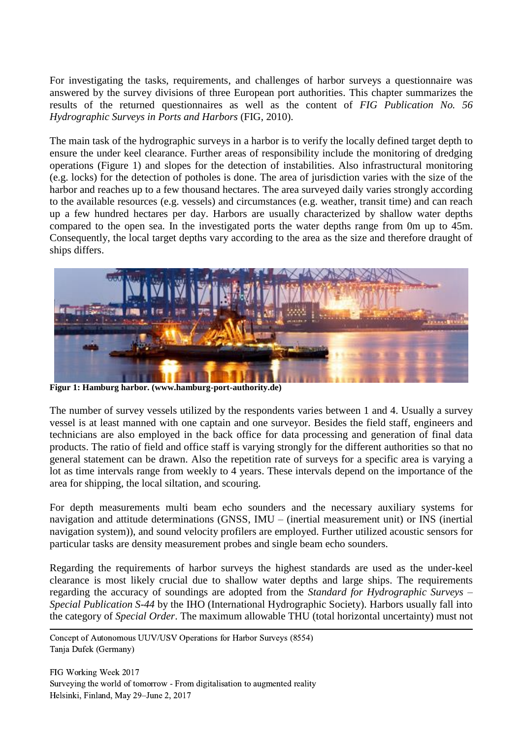For investigating the tasks, requirements, and challenges of harbor surveys a questionnaire was answered by the survey divisions of three European port authorities. This chapter summarizes the results of the returned questionnaires as well as the content of *FIG Publication No. 56 Hydrographic Surveys in Ports and Harbors* (FIG, 2010).

The main task of the hydrographic surveys in a harbor is to verify the locally defined target depth to ensure the under keel clearance. Further areas of responsibility include the monitoring of dredging operations (Figure 1) and slopes for the detection of instabilities. Also infrastructural monitoring (e.g. locks) for the detection of potholes is done. The area of jurisdiction varies with the size of the harbor and reaches up to a few thousand hectares. The area surveyed daily varies strongly according to the available resources (e.g. vessels) and circumstances (e.g. weather, transit time) and can reach up a few hundred hectares per day. Harbors are usually characterized by shallow water depths compared to the open sea. In the investigated ports the water depths range from 0m up to 45m. Consequently, the local target depths vary according to the area as the size and therefore draught of ships differs.



**Figur 1: Hamburg harbor. (www.hamburg-port-authority.de)**

The number of survey vessels utilized by the respondents varies between 1 and 4. Usually a survey vessel is at least manned with one captain and one surveyor. Besides the field staff, engineers and technicians are also employed in the back office for data processing and generation of final data products. The ratio of field and office staff is varying strongly for the different authorities so that no general statement can be drawn. Also the repetition rate of surveys for a specific area is varying a lot as time intervals range from weekly to 4 years. These intervals depend on the importance of the area for shipping, the local siltation, and scouring.

For depth measurements multi beam echo sounders and the necessary auxiliary systems for navigation and attitude determinations (GNSS, IMU – (inertial measurement unit) or INS (inertial navigation system)), and sound velocity profilers are employed. Further utilized acoustic sensors for particular tasks are density measurement probes and single beam echo sounders.

Regarding the requirements of harbor surveys the highest standards are used as the under-keel clearance is most likely crucial due to shallow water depths and large ships. The requirements regarding the accuracy of soundings are adopted from the *Standard for Hydrographic Surveys – Special Publication S-44* by the IHO (International Hydrographic Society). Harbors usually fall into the category of *Special Order*. The maximum allowable THU (total horizontal uncertainty) must not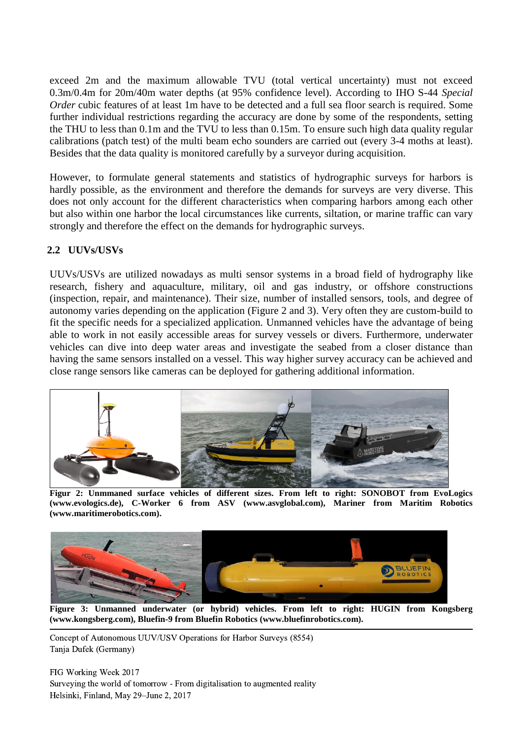exceed 2m and the maximum allowable TVU (total vertical uncertainty) must not exceed 0.3m/0.4m for 20m/40m water depths (at 95% confidence level). According to IHO S-44 *Special Order* cubic features of at least 1m have to be detected and a full sea floor search is required. Some further individual restrictions regarding the accuracy are done by some of the respondents, setting the THU to less than 0.1m and the TVU to less than 0.15m. To ensure such high data quality regular calibrations (patch test) of the multi beam echo sounders are carried out (every 3-4 moths at least). Besides that the data quality is monitored carefully by a surveyor during acquisition.

However, to formulate general statements and statistics of hydrographic surveys for harbors is hardly possible, as the environment and therefore the demands for surveys are very diverse. This does not only account for the different characteristics when comparing harbors among each other but also within one harbor the local circumstances like currents, siltation, or marine traffic can vary strongly and therefore the effect on the demands for hydrographic surveys.

## **2.2 UUVs/USVs**

UUVs/USVs are utilized nowadays as multi sensor systems in a broad field of hydrography like research, fishery and aquaculture, military, oil and gas industry, or offshore constructions (inspection, repair, and maintenance). Their size, number of installed sensors, tools, and degree of autonomy varies depending on the application (Figure 2 and 3). Very often they are custom-build to fit the specific needs for a specialized application. Unmanned vehicles have the advantage of being able to work in not easily accessible areas for survey vessels or divers. Furthermore, underwater vehicles can dive into deep water areas and investigate the seabed from a closer distance than having the same sensors installed on a vessel. This way higher survey accuracy can be achieved and close range sensors like cameras can be deployed for gathering additional information.



**Figur 2: Unmmaned surface vehicles of different sizes. From left to right: SONOBOT from EvoLogics (www.evologics.de), C-Worker 6 from ASV (www.asvglobal.com), Mariner from Maritim Robotics (www.maritimerobotics.com).**



**Figure 3: Unmanned underwater (or hybrid) vehicles. From left to right: HUGIN from Kongsberg (www.kongsberg.com), Bluefin-9 from Bluefin Robotics (www.bluefinrobotics.com).**

 Concept of Autonomous UUV/USV Operations for Harbor Surveys (8554) Tanja Dufek (Germany)

FIG Working Week 2017 Surveying the world of tomorrow - From digitalisation to augmented reality Helsinki, Finland, May 29–June 2, 2017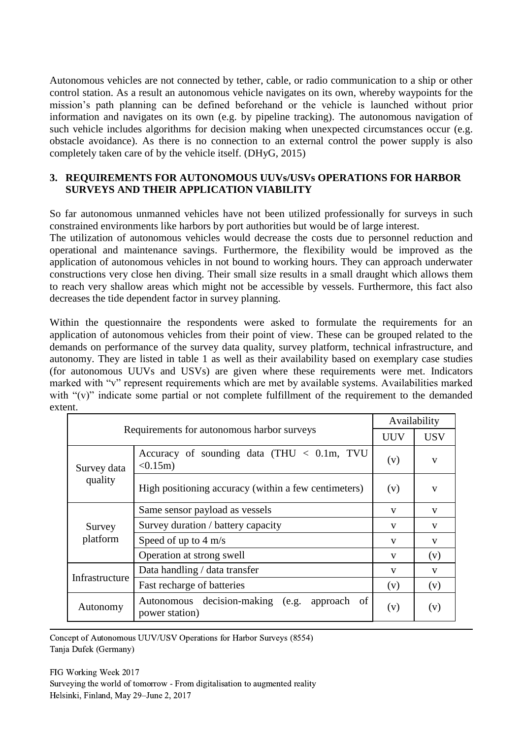Autonomous vehicles are not connected by tether, cable, or radio communication to a ship or other control station. As a result an autonomous vehicle navigates on its own, whereby waypoints for the mission's path planning can be defined beforehand or the vehicle is launched without prior information and navigates on its own (e.g. by pipeline tracking). The autonomous navigation of such vehicle includes algorithms for decision making when unexpected circumstances occur (e.g. obstacle avoidance). As there is no connection to an external control the power supply is also completely taken care of by the vehicle itself. (DHyG, 2015)

#### **3. REQUIREMENTS FOR AUTONOMOUS UUVs/USVs OPERATIONS FOR HARBOR SURVEYS AND THEIR APPLICATION VIABILITY**

So far autonomous unmanned vehicles have not been utilized professionally for surveys in such constrained environments like harbors by port authorities but would be of large interest.

The utilization of autonomous vehicles would decrease the costs due to personnel reduction and operational and maintenance savings. Furthermore, the flexibility would be improved as the application of autonomous vehicles in not bound to working hours. They can approach underwater constructions very close hen diving. Their small size results in a small draught which allows them to reach very shallow areas which might not be accessible by vessels. Furthermore, this fact also decreases the tide dependent factor in survey planning.

Within the questionnaire the respondents were asked to formulate the requirements for an application of autonomous vehicles from their point of view. These can be grouped related to the demands on performance of the survey data quality, survey platform, technical infrastructure, and autonomy. They are listed in table 1 as well as their availability based on exemplary case studies (for autonomous UUVs and USVs) are given where these requirements were met. Indicators marked with "v" represent requirements which are met by available systems. Availabilities marked with "(v)" indicate some partial or not complete fulfillment of the requirement to the demanded extent.

| Requirements for autonomous harbor surveys |                                                                   | Availability |              |
|--------------------------------------------|-------------------------------------------------------------------|--------------|--------------|
|                                            |                                                                   | <b>UUV</b>   | <b>USV</b>   |
| Survey data<br>quality                     | Accuracy of sounding data (THU < 0.1m, TVU<br>$< 0.15m$ )         | (v)          | V            |
|                                            | High positioning accuracy (within a few centimeters)              | (v)          | $\mathbf{V}$ |
| Survey<br>platform                         | Same sensor payload as vessels                                    | $\mathbf{V}$ | $\mathbf{V}$ |
|                                            | Survey duration / battery capacity                                | $\mathbf{V}$ | V            |
|                                            | Speed of up to $4 \text{ m/s}$                                    | V            | V            |
|                                            | Operation at strong swell                                         | V            | (v)          |
| Infrastructure                             | Data handling / data transfer                                     | V            | V            |
|                                            | Fast recharge of batteries                                        | (v)          | (v)          |
| Autonomy                                   | decision-making (e.g. approach of<br>Autonomous<br>power station) | (v)          | (v)          |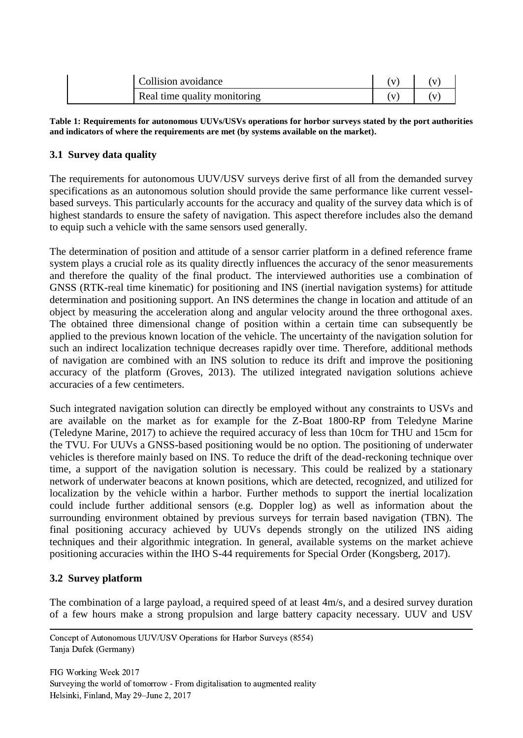| Collision avoidance          |  |
|------------------------------|--|
| Real time quality monitoring |  |

**Table 1: Requirements for autonomous UUVs/USVs operations for horbor surveys stated by the port authorities and indicators of where the requirements are met (by systems available on the market).**

## **3.1 Survey data quality**

The requirements for autonomous UUV/USV surveys derive first of all from the demanded survey specifications as an autonomous solution should provide the same performance like current vesselbased surveys. This particularly accounts for the accuracy and quality of the survey data which is of highest standards to ensure the safety of navigation. This aspect therefore includes also the demand to equip such a vehicle with the same sensors used generally.

The determination of position and attitude of a sensor carrier platform in a defined reference frame system plays a crucial role as its quality directly influences the accuracy of the senor measurements and therefore the quality of the final product. The interviewed authorities use a combination of GNSS (RTK-real time kinematic) for positioning and INS (inertial navigation systems) for attitude determination and positioning support. An INS determines the change in location and attitude of an object by measuring the acceleration along and angular velocity around the three orthogonal axes. The obtained three dimensional change of position within a certain time can subsequently be applied to the previous known location of the vehicle. The uncertainty of the navigation solution for such an indirect localization technique decreases rapidly over time. Therefore, additional methods of navigation are combined with an INS solution to reduce its drift and improve the positioning accuracy of the platform (Groves, 2013). The utilized integrated navigation solutions achieve accuracies of a few centimeters.

Such integrated navigation solution can directly be employed without any constraints to USVs and are available on the market as for example for the Z-Boat 1800-RP from Teledyne Marine (Teledyne Marine, 2017) to achieve the required accuracy of less than 10cm for THU and 15cm for the TVU. For UUVs a GNSS-based positioning would be no option. The positioning of underwater vehicles is therefore mainly based on INS. To reduce the drift of the dead-reckoning technique over time, a support of the navigation solution is necessary. This could be realized by a stationary network of underwater beacons at known positions, which are detected, recognized, and utilized for localization by the vehicle within a harbor. Further methods to support the inertial localization could include further additional sensors (e.g. Doppler log) as well as information about the surrounding environment obtained by previous surveys for terrain based navigation (TBN). The final positioning accuracy achieved by UUVs depends strongly on the utilized INS aiding techniques and their algorithmic integration. In general, available systems on the market achieve positioning accuracies within the IHO S-44 requirements for Special Order (Kongsberg, 2017).

#### **3.2 Survey platform**

The combination of a large payload, a required speed of at least 4m/s, and a desired survey duration of a few hours make a strong propulsion and large battery capacity necessary. UUV and USV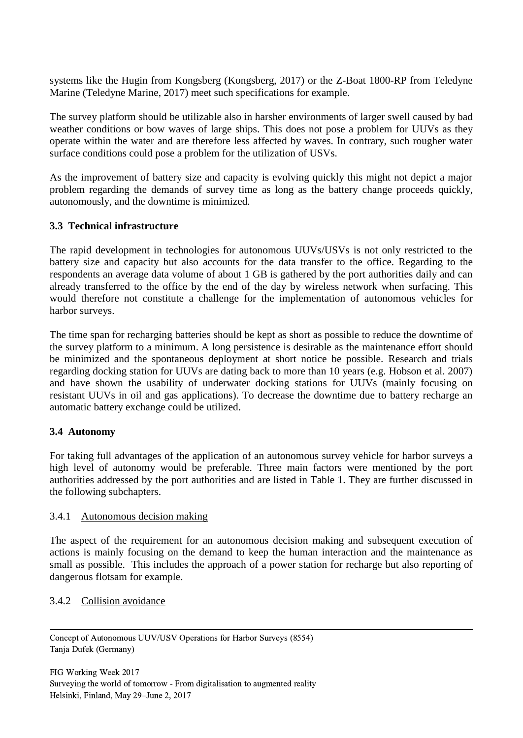systems like the Hugin from Kongsberg (Kongsberg, 2017) or the Z-Boat 1800-RP from Teledyne Marine (Teledyne Marine, 2017) meet such specifications for example.

The survey platform should be utilizable also in harsher environments of larger swell caused by bad weather conditions or bow waves of large ships. This does not pose a problem for UUVs as they operate within the water and are therefore less affected by waves. In contrary, such rougher water surface conditions could pose a problem for the utilization of USVs.

As the improvement of battery size and capacity is evolving quickly this might not depict a major problem regarding the demands of survey time as long as the battery change proceeds quickly, autonomously, and the downtime is minimized.

#### **3.3 Technical infrastructure**

The rapid development in technologies for autonomous UUVs/USVs is not only restricted to the battery size and capacity but also accounts for the data transfer to the office. Regarding to the respondents an average data volume of about 1 GB is gathered by the port authorities daily and can already transferred to the office by the end of the day by wireless network when surfacing. This would therefore not constitute a challenge for the implementation of autonomous vehicles for harbor surveys.

The time span for recharging batteries should be kept as short as possible to reduce the downtime of the survey platform to a minimum. A long persistence is desirable as the maintenance effort should be minimized and the spontaneous deployment at short notice be possible. Research and trials regarding docking station for UUVs are dating back to more than 10 years (e.g. Hobson et al. 2007) and have shown the usability of underwater docking stations for UUVs (mainly focusing on resistant UUVs in oil and gas applications). To decrease the downtime due to battery recharge an automatic battery exchange could be utilized.

#### **3.4 Autonomy**

For taking full advantages of the application of an autonomous survey vehicle for harbor surveys a high level of autonomy would be preferable. Three main factors were mentioned by the port authorities addressed by the port authorities and are listed in Table 1. They are further discussed in the following subchapters.

#### 3.4.1 Autonomous decision making

The aspect of the requirement for an autonomous decision making and subsequent execution of actions is mainly focusing on the demand to keep the human interaction and the maintenance as small as possible. This includes the approach of a power station for recharge but also reporting of dangerous flotsam for example.

## 3.4.2 Collision avoidance

 Concept of Autonomous UUV/USV Operations for Harbor Surveys (8554) Tanja Dufek (Germany)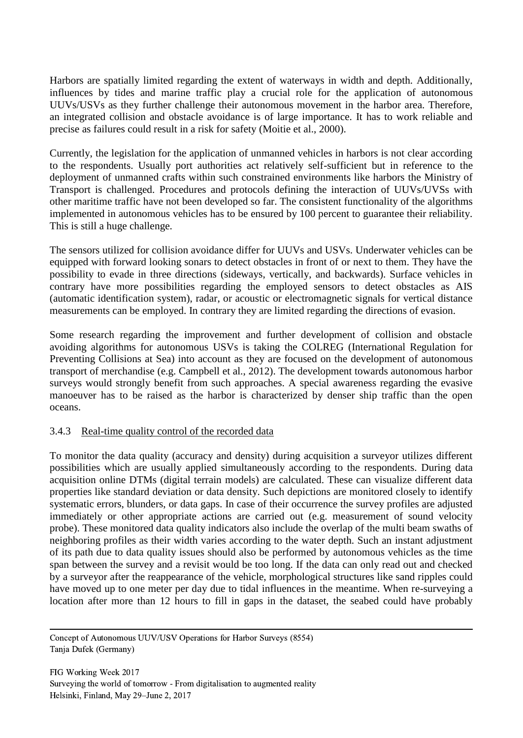Harbors are spatially limited regarding the extent of waterways in width and depth. Additionally, influences by tides and marine traffic play a crucial role for the application of autonomous UUVs/USVs as they further challenge their autonomous movement in the harbor area. Therefore, an integrated collision and obstacle avoidance is of large importance. It has to work reliable and precise as failures could result in a risk for safety (Moitie et al., 2000).

Currently, the legislation for the application of unmanned vehicles in harbors is not clear according to the respondents. Usually port authorities act relatively self-sufficient but in reference to the deployment of unmanned crafts within such constrained environments like harbors the Ministry of Transport is challenged. Procedures and protocols defining the interaction of UUVs/UVSs with other maritime traffic have not been developed so far. The consistent functionality of the algorithms implemented in autonomous vehicles has to be ensured by 100 percent to guarantee their reliability. This is still a huge challenge.

The sensors utilized for collision avoidance differ for UUVs and USVs. Underwater vehicles can be equipped with forward looking sonars to detect obstacles in front of or next to them. They have the possibility to evade in three directions (sideways, vertically, and backwards). Surface vehicles in contrary have more possibilities regarding the employed sensors to detect obstacles as AIS (automatic identification system), radar, or acoustic or electromagnetic signals for vertical distance measurements can be employed. In contrary they are limited regarding the directions of evasion.

Some research regarding the improvement and further development of collision and obstacle avoiding algorithms for autonomous USVs is taking the COLREG (International Regulation for Preventing Collisions at Sea) into account as they are focused on the development of autonomous transport of merchandise (e.g. Campbell et al., 2012). The development towards autonomous harbor surveys would strongly benefit from such approaches. A special awareness regarding the evasive manoeuver has to be raised as the harbor is characterized by denser ship traffic than the open oceans.

#### 3.4.3 Real-time quality control of the recorded data

To monitor the data quality (accuracy and density) during acquisition a surveyor utilizes different possibilities which are usually applied simultaneously according to the respondents. During data acquisition online DTMs (digital terrain models) are calculated. These can visualize different data properties like standard deviation or data density. Such depictions are monitored closely to identify systematic errors, blunders, or data gaps. In case of their occurrence the survey profiles are adjusted immediately or other appropriate actions are carried out (e.g. measurement of sound velocity probe). These monitored data quality indicators also include the overlap of the multi beam swaths of neighboring profiles as their width varies according to the water depth. Such an instant adjustment of its path due to data quality issues should also be performed by autonomous vehicles as the time span between the survey and a revisit would be too long. If the data can only read out and checked by a surveyor after the reappearance of the vehicle, morphological structures like sand ripples could have moved up to one meter per day due to tidal influences in the meantime. When re-surveying a location after more than 12 hours to fill in gaps in the dataset, the seabed could have probably

 Concept of Autonomous UUV/USV Operations for Harbor Surveys (8554) Tanja Dufek (Germany)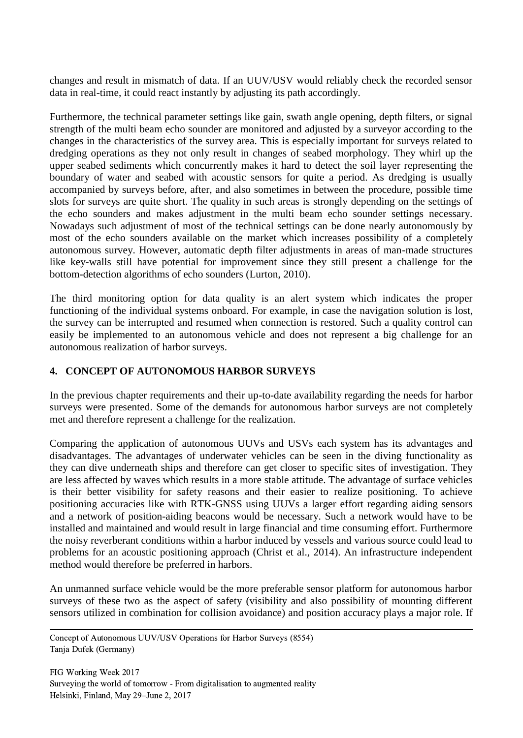changes and result in mismatch of data. If an UUV/USV would reliably check the recorded sensor data in real-time, it could react instantly by adjusting its path accordingly.

Furthermore, the technical parameter settings like gain, swath angle opening, depth filters, or signal strength of the multi beam echo sounder are monitored and adjusted by a surveyor according to the changes in the characteristics of the survey area. This is especially important for surveys related to dredging operations as they not only result in changes of seabed morphology. They whirl up the upper seabed sediments which concurrently makes it hard to detect the soil layer representing the boundary of water and seabed with acoustic sensors for quite a period. As dredging is usually accompanied by surveys before, after, and also sometimes in between the procedure, possible time slots for surveys are quite short. The quality in such areas is strongly depending on the settings of the echo sounders and makes adjustment in the multi beam echo sounder settings necessary. Nowadays such adjustment of most of the technical settings can be done nearly autonomously by most of the echo sounders available on the market which increases possibility of a completely autonomous survey. However, automatic depth filter adjustments in areas of man-made structures like key-walls still have potential for improvement since they still present a challenge for the bottom-detection algorithms of echo sounders (Lurton, 2010).

The third monitoring option for data quality is an alert system which indicates the proper functioning of the individual systems onboard. For example, in case the navigation solution is lost, the survey can be interrupted and resumed when connection is restored. Such a quality control can easily be implemented to an autonomous vehicle and does not represent a big challenge for an autonomous realization of harbor surveys.

## **4. CONCEPT OF AUTONOMOUS HARBOR SURVEYS**

In the previous chapter requirements and their up-to-date availability regarding the needs for harbor surveys were presented. Some of the demands for autonomous harbor surveys are not completely met and therefore represent a challenge for the realization.

Comparing the application of autonomous UUVs and USVs each system has its advantages and disadvantages. The advantages of underwater vehicles can be seen in the diving functionality as they can dive underneath ships and therefore can get closer to specific sites of investigation. They are less affected by waves which results in a more stable attitude. The advantage of surface vehicles is their better visibility for safety reasons and their easier to realize positioning. To achieve positioning accuracies like with RTK-GNSS using UUVs a larger effort regarding aiding sensors and a network of position-aiding beacons would be necessary. Such a network would have to be installed and maintained and would result in large financial and time consuming effort. Furthermore the noisy reverberant conditions within a harbor induced by vessels and various source could lead to problems for an acoustic positioning approach (Christ et al., 2014). An infrastructure independent method would therefore be preferred in harbors.

An unmanned surface vehicle would be the more preferable sensor platform for autonomous harbor surveys of these two as the aspect of safety (visibility and also possibility of mounting different sensors utilized in combination for collision avoidance) and position accuracy plays a major role. If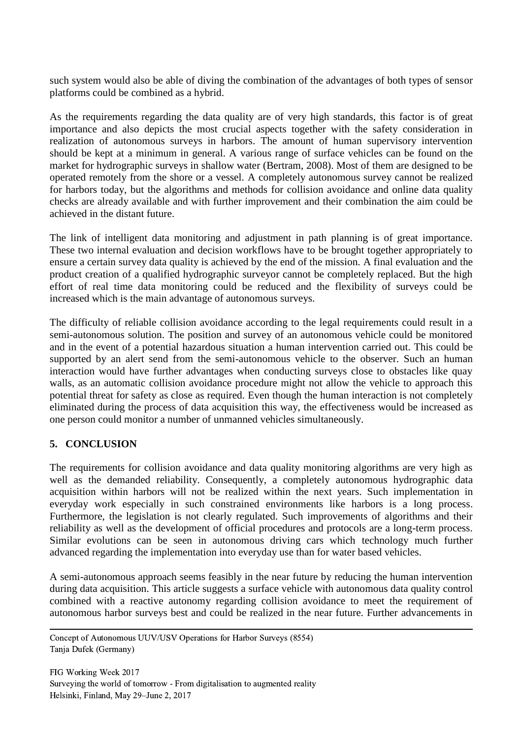such system would also be able of diving the combination of the advantages of both types of sensor platforms could be combined as a hybrid.

As the requirements regarding the data quality are of very high standards, this factor is of great importance and also depicts the most crucial aspects together with the safety consideration in realization of autonomous surveys in harbors. The amount of human supervisory intervention should be kept at a minimum in general. A various range of surface vehicles can be found on the market for hydrographic surveys in shallow water (Bertram, 2008). Most of them are designed to be operated remotely from the shore or a vessel. A completely autonomous survey cannot be realized for harbors today, but the algorithms and methods for collision avoidance and online data quality checks are already available and with further improvement and their combination the aim could be achieved in the distant future.

The link of intelligent data monitoring and adjustment in path planning is of great importance. These two internal evaluation and decision workflows have to be brought together appropriately to ensure a certain survey data quality is achieved by the end of the mission. A final evaluation and the product creation of a qualified hydrographic surveyor cannot be completely replaced. But the high effort of real time data monitoring could be reduced and the flexibility of surveys could be increased which is the main advantage of autonomous surveys.

The difficulty of reliable collision avoidance according to the legal requirements could result in a semi-autonomous solution. The position and survey of an autonomous vehicle could be monitored and in the event of a potential hazardous situation a human intervention carried out. This could be supported by an alert send from the semi-autonomous vehicle to the observer. Such an human interaction would have further advantages when conducting surveys close to obstacles like quay walls, as an automatic collision avoidance procedure might not allow the vehicle to approach this potential threat for safety as close as required. Even though the human interaction is not completely eliminated during the process of data acquisition this way, the effectiveness would be increased as one person could monitor a number of unmanned vehicles simultaneously.

## **5. CONCLUSION**

The requirements for collision avoidance and data quality monitoring algorithms are very high as well as the demanded reliability. Consequently, a completely autonomous hydrographic data acquisition within harbors will not be realized within the next years. Such implementation in everyday work especially in such constrained environments like harbors is a long process. Furthermore, the legislation is not clearly regulated. Such improvements of algorithms and their reliability as well as the development of official procedures and protocols are a long-term process. Similar evolutions can be seen in autonomous driving cars which technology much further advanced regarding the implementation into everyday use than for water based vehicles.

A semi-autonomous approach seems feasibly in the near future by reducing the human intervention during data acquisition. This article suggests a surface vehicle with autonomous data quality control combined with a reactive autonomy regarding collision avoidance to meet the requirement of autonomous harbor surveys best and could be realized in the near future. Further advancements in

 Concept of Autonomous UUV/USV Operations for Harbor Surveys (8554) Tanja Dufek (Germany)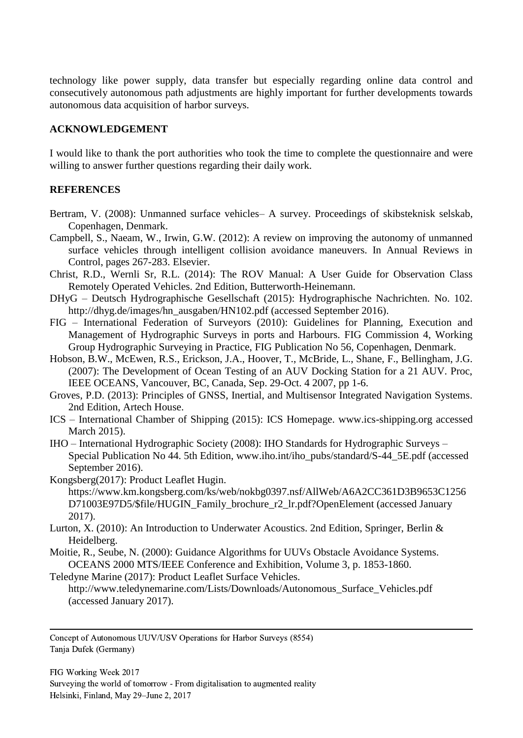technology like power supply, data transfer but especially regarding online data control and consecutively autonomous path adjustments are highly important for further developments towards autonomous data acquisition of harbor surveys.

#### **ACKNOWLEDGEMENT**

I would like to thank the port authorities who took the time to complete the questionnaire and were willing to answer further questions regarding their daily work.

#### **REFERENCES**

- Bertram, V. (2008): Unmanned surface vehicles– A survey. Proceedings of skibsteknisk selskab, Copenhagen, Denmark.
- Campbell, S., Naeam, W., Irwin, G.W. (2012): A review on improving the autonomy of unmanned surface vehicles through intelligent collision avoidance maneuvers. In Annual Reviews in Control, pages 267-283. Elsevier.
- Christ, R.D., Wernli Sr, R.L. (2014): The ROV Manual: A User Guide for Observation Class Remotely Operated Vehicles. 2nd Edition, Butterworth-Heinemann.
- DHyG Deutsch Hydrographische Gesellschaft (2015): Hydrographische Nachrichten. No. 102. http://dhyg.de/images/hn\_ausgaben/HN102.pdf (accessed September 2016).
- FIG International Federation of Surveyors (2010): Guidelines for Planning, Execution and Management of Hydrographic Surveys in ports and Harbours. FIG Commission 4, Working Group Hydrographic Surveying in Practice, FIG Publication No 56, Copenhagen, Denmark.
- Hobson, B.W., McEwen, R.S., Erickson, J.A., Hoover, T., McBride, L., Shane, F., Bellingham, J.G. (2007): The Development of Ocean Testing of an AUV Docking Station for a 21 AUV. Proc, IEEE OCEANS, Vancouver, BC, Canada, Sep. 29-Oct. 4 2007, pp 1-6.
- Groves, P.D. (2013): Principles of GNSS, Inertial, and Multisensor Integrated Navigation Systems. 2nd Edition, Artech House.
- ICS International Chamber of Shipping (2015): ICS Homepage. www.ics-shipping.org accessed March 2015).
- IHO International Hydrographic Society (2008): IHO Standards for Hydrographic Surveys Special Publication No 44. 5th Edition, www.iho.int/iho\_pubs/standard/S-44\_5E.pdf (accessed September 2016).
- Kongsberg(2017): Product Leaflet Hugin. https://www.km.kongsberg.com/ks/web/nokbg0397.nsf/AllWeb/A6A2CC361D3B9653C1256 D71003E97D5/\$file/HUGIN\_Family\_brochure\_r2\_lr.pdf?OpenElement (accessed January 2017).
- Lurton, X. (2010): An Introduction to Underwater Acoustics. 2nd Edition, Springer, Berlin & Heidelberg.
- Moitie, R., Seube, N. (2000): Guidance Algorithms for UUVs Obstacle Avoidance Systems. OCEANS 2000 MTS/IEEE Conference and Exhibition, Volume 3, p. 1853-1860.
- Teledyne Marine (2017): Product Leaflet Surface Vehicles.

http://www.teledynemarine.com/Lists/Downloads/Autonomous\_Surface\_Vehicles.pdf (accessed January 2017).